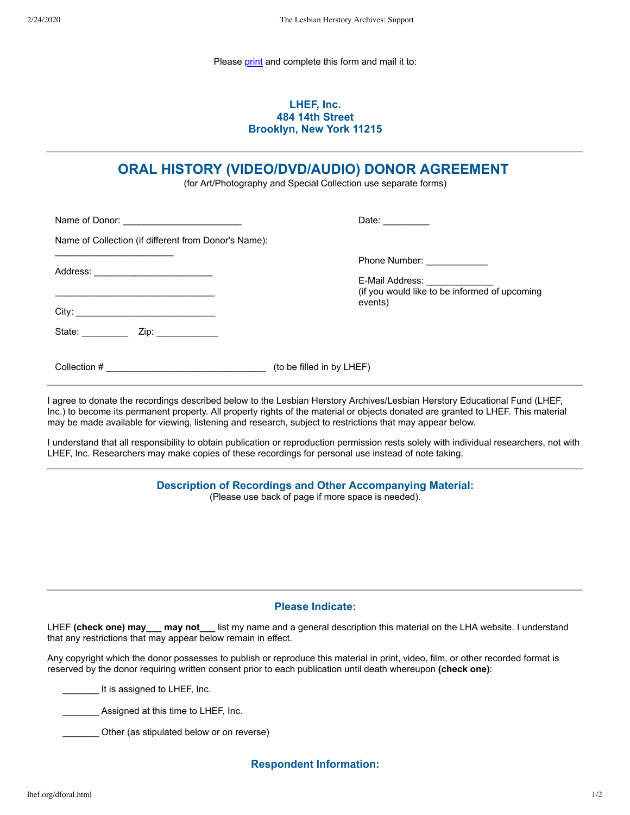Please [print](javascript:window.print()) and complete this form and mail it to:

# **LHEF, Inc. 484 14th Street Brooklyn, New York 11215**

# **ORAL HISTORY (VIDEO/DVD/AUDIO) DONOR AGREEMENT**

(for Art/Photography and Special Collection use separate forms)

|                                                      | Date: $\frac{1}{\sqrt{1-\frac{1}{2}}\cdot\frac{1}{2}}$ |
|------------------------------------------------------|--------------------------------------------------------|
| Name of Collection (if different from Donor's Name): |                                                        |
|                                                      | Phone Number: _____________                            |
| Address: ___________________________                 |                                                        |
|                                                      | events)                                                |
|                                                      |                                                        |
|                                                      | (to be filled in by LHEF)                              |

I agree to donate the recordings described below to the Lesbian Herstory Archives/Lesbian Herstory Educational Fund (LHEF, Inc.) to become its permanent property. All property rights of the material or objects donated are granted to LHEF. This material may be made available for viewing, listening and research, subject to restrictions that may appear below.

I understand that all responsibility to obtain publication or reproduction permission rests solely with individual researchers, not with LHEF, Inc. Researchers may make copies of these recordings for personal use instead of note taking.

## **Description of Recordings and Other Accompanying Material:**

(Please use back of page if more space is needed).

#### **Please Indicate:**

LHEF **(check one) may\_\_\_ may not\_\_\_** list my name and a general description this material on the LHA website. I understand that any restrictions that may appear below remain in effect.

Any copyright which the donor possesses to publish or reproduce this material in print, video, film, or other recorded format is reserved by the donor requiring written consent prior to each publication until death whereupon **(check one)**:

It is assigned to LHEF, Inc.

Assigned at this time to LHEF, Inc.

Other (as stipulated below or on reverse)

**Respondent Information:**